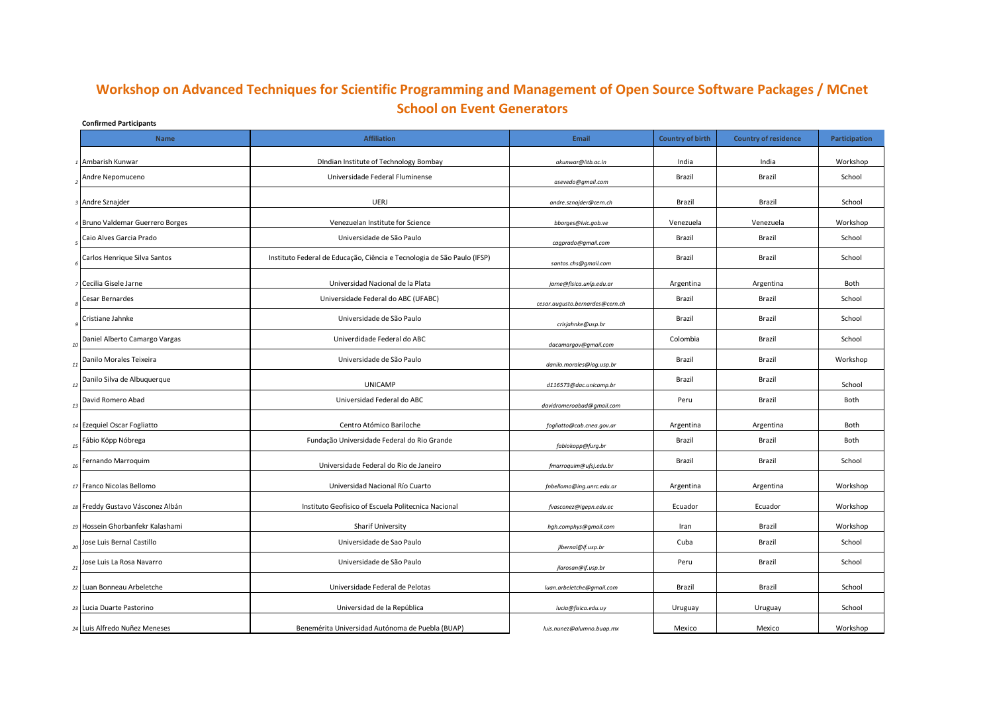## **Confirmed Participants Workshop on Advanced Techniques for Scientific Programming and Management of Open Source Software Packages / MCnet School on Event Generators**

| <b>Name</b>                         | <b>Affiliation</b>                                                      | <b>Email</b>                    | <b>Country of birth</b> | <b>Country of residence</b> | Participation |
|-------------------------------------|-------------------------------------------------------------------------|---------------------------------|-------------------------|-----------------------------|---------------|
| 1 Ambarish Kunwar                   | DIndian Institute of Technology Bombay                                  | akunwar@iitb.ac.in              | India                   | India                       | Workshop      |
| Andre Nepomuceno                    | Universidade Federal Fluminense                                         | asevedo@gmail.com               | Brazil                  | Brazil                      | School        |
| 3 Andre Sznajder                    | UERJ                                                                    | andre.sznajder@cern.ch          | Brazil                  | Brazil                      | School        |
| 4 Bruno Valdemar Guerrero Borges    | Venezuelan Institute for Science                                        | bborges@ivic.gob.ve             | Venezuela               | Venezuela                   | Workshop      |
| Caio Alves Garcia Prado             | Universidade de São Paulo                                               | cagprado@gmail.com              | Brazil                  | Brazil                      | School        |
| Carlos Henrique Silva Santos        | Instituto Federal de Educação, Ciência e Tecnologia de São Paulo (IFSP) | santos.chs@gmail.com            | Brazil                  | Brazil                      | School        |
| <sup>7</sup> Cecilia Gisele Jarne   | Universidad Nacional de la Plata                                        | jarne@fisica.unlp.edu.ar        | Argentina               | Argentina                   | Both          |
| Cesar Bernardes                     | Universidade Federal do ABC (UFABC)                                     | cesar.augusto.bernardes@cern.ch | Brazil                  | Brazil                      | School        |
| Cristiane Jahnke                    | Universidade de São Paulo                                               | crisjahnke@usp.br               | Brazil                  | Brazil                      | School        |
| Daniel Alberto Camargo Vargas<br>10 | Univerdidade Federal do ABC                                             | dacamargov@gmail.com            | Colombia                | Brazil                      | School        |
| Danilo Morales Teixeira<br>11       | Universidade de São Paulo                                               | danilo.morales@iag.usp.br       | Brazil                  | Brazil                      | Workshop      |
| Danilo Silva de Albuquerque<br>12   | <b>UNICAMP</b>                                                          | d116573@dac.unicamp.br          | Brazil                  | Brazil                      | School        |
| David Romero Abad<br>13             | Universidad Federal do ABC                                              | davidromeroabad@gmail.com       | Peru                    | Brazil                      | Both          |
| 14 Ezequiel Oscar Fogliatto         | Centro Atómico Bariloche                                                | fogliatto@cab.cnea.gov.ar       | Argentina               | Argentina                   | Both          |
| Fábio Köpp Nóbrega<br>15            | Fundação Universidade Federal do Rio Grande                             | fabiokopp@furg.br               | Brazil                  | Brazil                      | Both          |
| Fernando Marroquim<br>16            | Universidade Federal do Rio de Janeiro                                  | fmarroquim@ufsj.edu.br          | Brazil                  | Brazil                      | School        |
| 17 Franco Nicolas Bellomo           | Universidad Nacional Río Cuarto                                         | fnbellomo@ing.unrc.edu.ar       | Argentina               | Argentina                   | Workshop      |
| 18 Freddy Gustavo Vásconez Albán    | Instituto Geofisico of Escuela Politecnica Nacional                     | fvasconez@igepn.edu.ec          | Ecuador                 | Ecuador                     | Workshop      |
| 19 Hossein Ghorbanfekr Kalashami    | <b>Sharif University</b>                                                | hgh.comphys@gmail.com           | Iran                    | Brazil                      | Workshop      |
| Jose Luis Bernal Castillo<br>20     | Universidade de Sao Paulo                                               | jlbernal@if.usp.br              | Cuba                    | Brazil                      | School        |
| Jose Luis La Rosa Navarro<br>21     | Universidade de São Paulo                                               | jlarosan@if.usp.br              | Peru                    | Brazil                      | School        |
| 22 Luan Bonneau Arbeletche          | Universidade Federal de Pelotas                                         | luan.arbeletche@gmail.com       | Brazil                  | Brazil                      | School        |
| 23 Lucia Duarte Pastorino           | Universidad de la República                                             | lucia@fisica.edu.uy             | Uruguay                 | Uruguay                     | School        |
| 24 Luis Alfredo Nuñez Meneses       | Benemérita Universidad Autónoma de Puebla (BUAP)                        | luis.nunez@alumno.buap.mx       | Mexico                  | Mexico                      | Workshop      |